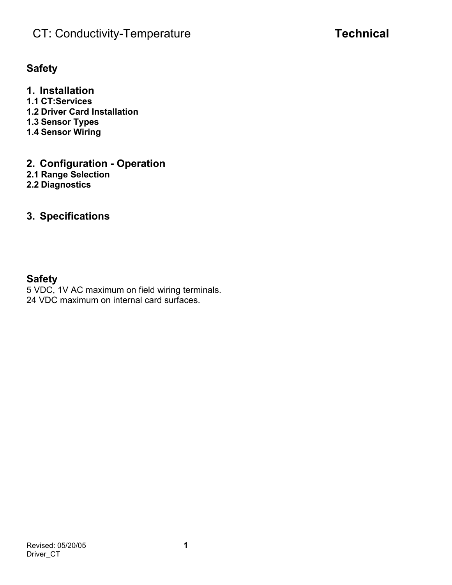# **CT: Conductivity-Temperature <b>Technical**

### **Safety**

**1. Installation 1.1 CT:Services 1.2 Driver Card Installation 1.3 Sensor Types 1.4 Sensor Wiring** 

- **2. Configuration Operation 2.1 Range Selection**
- **2.2 Diagnostics**
- 

## **3. Specifications**

### **Safety**

5 VDC, 1V AC maximum on field wiring terminals. 24 VDC maximum on internal card surfaces.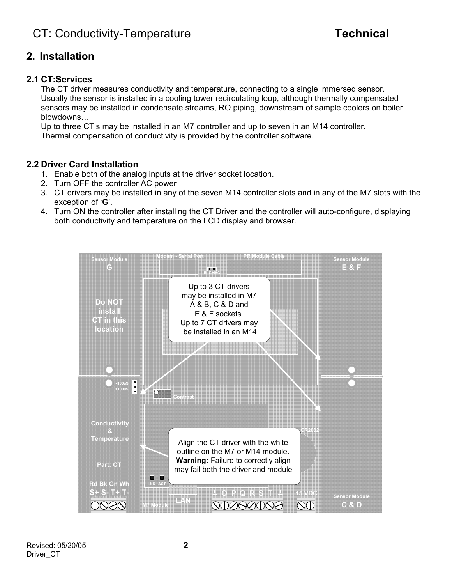### **2. Installation**

#### **2.1 CT:Services**

The CT driver measures conductivity and temperature, connecting to a single immersed sensor. Usually the sensor is installed in a cooling tower recirculating loop, although thermally compensated sensors may be installed in condensate streams, RO piping, downstream of sample coolers on boiler blowdowns…

Up to three CT's may be installed in an M7 controller and up to seven in an M14 controller. Thermal compensation of conductivity is provided by the controller software.

#### **2.2 Driver Card Installation**

- 1. Enable both of the analog inputs at the driver socket location.
- 2. Turn OFF the controller AC power
- 3. CT drivers may be installed in any of the seven M14 controller slots and in any of the M7 slots with the exception of '**G**'.
- 4. Turn ON the controller after installing the CT Driver and the controller will auto-configure, displaying both conductivity and temperature on the LCD display and browser.

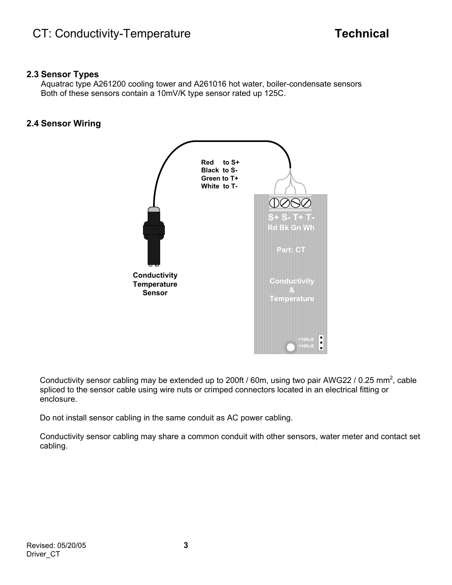#### **2.3 Sensor Types**

Aquatrac type A261200 cooling tower and A261016 hot water, boiler-condensate sensors Both of these sensors contain a 10mV/K type sensor rated up 125C.

### **2.4 Sensor Wiring**



Conductivity sensor cabling may be extended up to 200ft / 60m, using two pair AWG22 / 0.25 mm<sup>2</sup>, cable spliced to the sensor cable using wire nuts or crimped connectors located in an electrical fitting or enclosure.

Do not install sensor cabling in the same conduit as AC power cabling.

Conductivity sensor cabling may share a common conduit with other sensors, water meter and contact set cabling.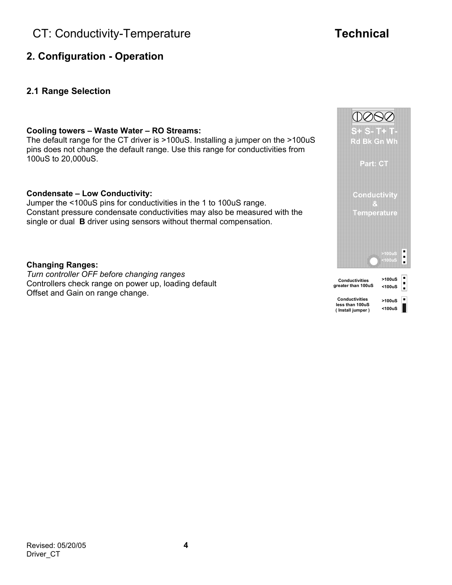# **CT: Conductivity-Temperature <b>Technical**

- **2. Configuration Operation**
- **2.1 Range Selection**

#### **Cooling towers – Waste Water – RO Streams:**

The default range for the CT driver is >100uS. Installing a jumper on the >100uS pins does not change the default range. Use this range for conductivities from 100uS to 20,000uS.

#### **Condensate – Low Conductivity:**

Jumper the <100uS pins for conductivities in the 1 to 100uS range. Constant pressure condensate conductivities may also be measured with the single or dual **B** driver using sensors without thermal compensation.

#### **Changing Ranges:**

*Turn controller OFF before changing ranges*  Controllers check range on power up, loading default Offset and Gain on range change.

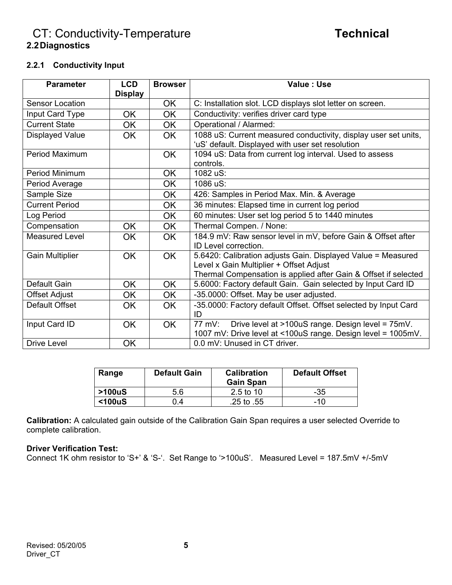### **CT: Conductivity-Temperature <b>Technical 2.2 Diagnostics**

#### **2.2.1 Conductivity Input**

| <b>Parameter</b>       | <b>LCD</b><br><b>Display</b> | <b>Browser</b> | Value: Use                                                                                                                                                                 |
|------------------------|------------------------------|----------------|----------------------------------------------------------------------------------------------------------------------------------------------------------------------------|
| <b>Sensor Location</b> |                              | <b>OK</b>      | C: Installation slot. LCD displays slot letter on screen.                                                                                                                  |
| Input Card Type        | <b>OK</b>                    | <b>OK</b>      | Conductivity: verifies driver card type                                                                                                                                    |
| <b>Current State</b>   | <b>OK</b>                    | <b>OK</b>      | Operational / Alarmed:                                                                                                                                                     |
| <b>Displayed Value</b> | <b>OK</b>                    | OK.            | 1088 uS: Current measured conductivity, display user set units,<br>'uS' default. Displayed with user set resolution                                                        |
| <b>Period Maximum</b>  |                              | <b>OK</b>      | 1094 uS: Data from current log interval. Used to assess<br>controls.                                                                                                       |
| Period Minimum         |                              | <b>OK</b>      | 1082 uS:                                                                                                                                                                   |
| Period Average         |                              | OK             | 1086 uS:                                                                                                                                                                   |
| Sample Size            |                              | OK.            | 426: Samples in Period Max. Min. & Average                                                                                                                                 |
| <b>Current Period</b>  |                              | <b>OK</b>      | 36 minutes: Elapsed time in current log period                                                                                                                             |
| Log Period             |                              | <b>OK</b>      | 60 minutes: User set log period 5 to 1440 minutes                                                                                                                          |
| Compensation           | <b>OK</b>                    | <b>OK</b>      | Thermal Compen. / None:                                                                                                                                                    |
| <b>Measured Level</b>  | <b>OK</b>                    | <b>OK</b>      | 184.9 mV: Raw sensor level in mV, before Gain & Offset after<br>ID Level correction.                                                                                       |
| <b>Gain Multiplier</b> | <b>OK</b>                    | <b>OK</b>      | 5.6420: Calibration adjusts Gain. Displayed Value = Measured<br>Level x Gain Multiplier + Offset Adjust<br>Thermal Compensation is applied after Gain & Offset if selected |
| Default Gain           | OK                           | <b>OK</b>      | 5.6000: Factory default Gain. Gain selected by Input Card ID                                                                                                               |
| <b>Offset Adjust</b>   | <b>OK</b>                    | <b>OK</b>      | -35.0000: Offset. May be user adjusted.                                                                                                                                    |
| Default Offset         | OK                           | <b>OK</b>      | -35.0000: Factory default Offset. Offset selected by Input Card<br>ID                                                                                                      |
| Input Card ID          | <b>OK</b>                    | OK             | Drive level at >100uS range. Design level = 75mV.<br>77 mV:<br>1007 mV: Drive level at <100uS range. Design level = 1005mV.                                                |
| Drive Level            | <b>OK</b>                    |                | 0.0 mV: Unused in CT driver.                                                                                                                                               |

| Range   | <b>Default Gain</b> | <b>Calibration</b><br><b>Gain Span</b> | <b>Default Offset</b> |
|---------|---------------------|----------------------------------------|-----------------------|
| >100uS  | 5.6                 | 2.5 to 10                              | -35                   |
| $100uS$ | 0.4                 | .25 to .55                             | $-10$                 |

**Calibration:** A calculated gain outside of the Calibration Gain Span requires a user selected Override to complete calibration.

#### **Driver Verification Test:**

Connect 1K ohm resistor to 'S+' & 'S-'. Set Range to '>100uS'. Measured Level = 187.5mV +/-5mV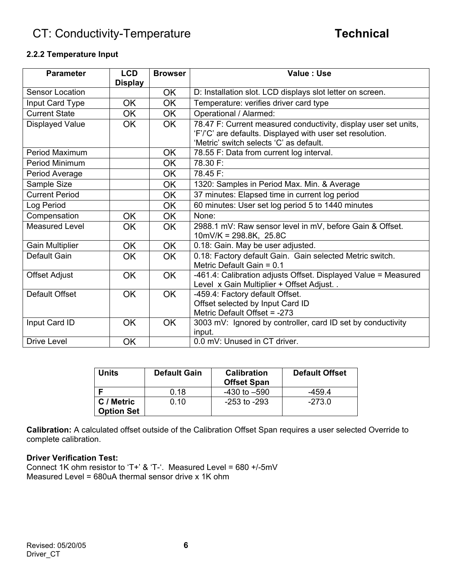# **CT: Conductivity-Temperature <b>Technical**

#### **2.2.2 Temperature Input**

| <b>Parameter</b>       | <b>LCD</b>     | <b>Browser</b> | Value: Use                                                      |
|------------------------|----------------|----------------|-----------------------------------------------------------------|
| <b>Sensor Location</b> | <b>Display</b> |                |                                                                 |
|                        |                | <b>OK</b>      | D: Installation slot. LCD displays slot letter on screen.       |
| Input Card Type        | <b>OK</b>      | <b>OK</b>      | Temperature: verifies driver card type                          |
| <b>Current State</b>   | <b>OK</b>      | <b>OK</b>      | Operational / Alarmed:                                          |
| <b>Displayed Value</b> | <b>OK</b>      | OK.            | 78.47 F: Current measured conductivity, display user set units, |
|                        |                |                | 'F'/'C' are defaults. Displayed with user set resolution.       |
|                        |                |                | 'Metric' switch selects 'C' as default.                         |
| Period Maximum         |                | <b>OK</b>      | 78.55 F: Data from current log interval.                        |
| Period Minimum         |                | <b>OK</b>      | 78.30 F:                                                        |
| Period Average         |                | OK.            | 78.45 F:                                                        |
| Sample Size            |                | OK.            | 1320: Samples in Period Max. Min. & Average                     |
| <b>Current Period</b>  |                | <b>OK</b>      | 37 minutes: Elapsed time in current log period                  |
| Log Period             |                | <b>OK</b>      | 60 minutes: User set log period 5 to 1440 minutes               |
| Compensation           | <b>OK</b>      | <b>OK</b>      | None:                                                           |
| <b>Measured Level</b>  | <b>OK</b>      | OK.            | 2988.1 mV: Raw sensor level in mV, before Gain & Offset.        |
|                        |                |                | $10mV/K = 298.8K$ , 25.8C                                       |
| <b>Gain Multiplier</b> | OK             | <b>OK</b>      | 0.18: Gain. May be user adjusted.                               |
| Default Gain           | <b>OK</b>      | <b>OK</b>      | 0.18: Factory default Gain. Gain selected Metric switch.        |
|                        |                |                | Metric Default Gain = 0.1                                       |
| <b>Offset Adjust</b>   | <b>OK</b>      | <b>OK</b>      | -461.4: Calibration adjusts Offset. Displayed Value = Measured  |
|                        |                |                | Level x Gain Multiplier + Offset Adjust                         |
| Default Offset         | <b>OK</b>      | OK.            | -459.4: Factory default Offset.                                 |
|                        |                |                | Offset selected by Input Card ID                                |
|                        |                |                | Metric Default Offset = -273                                    |
| Input Card ID          | <b>OK</b>      | <b>OK</b>      | 3003 mV: Ignored by controller, card ID set by conductivity     |
|                        |                |                | input.                                                          |
| <b>Drive Level</b>     | <b>OK</b>      |                | 0.0 mV: Unused in CT driver.                                    |

| <b>Units</b>                    | <b>Default Gain</b> | <b>Calibration</b><br><b>Offset Span</b> | <b>Default Offset</b> |
|---------------------------------|---------------------|------------------------------------------|-----------------------|
|                                 | 0.18                | $-430$ to $-590$                         | -459.4                |
| C / Metric<br><b>Option Set</b> | 0.10                | -253 to -293                             | $-273.0$              |

**Calibration:** A calculated offset outside of the Calibration Offset Span requires a user selected Override to complete calibration.

#### **Driver Verification Test:**

Connect 1K ohm resistor to 'T+' & 'T-'. Measured Level = 680 +/-5mV Measured Level = 680uA thermal sensor drive x 1K ohm